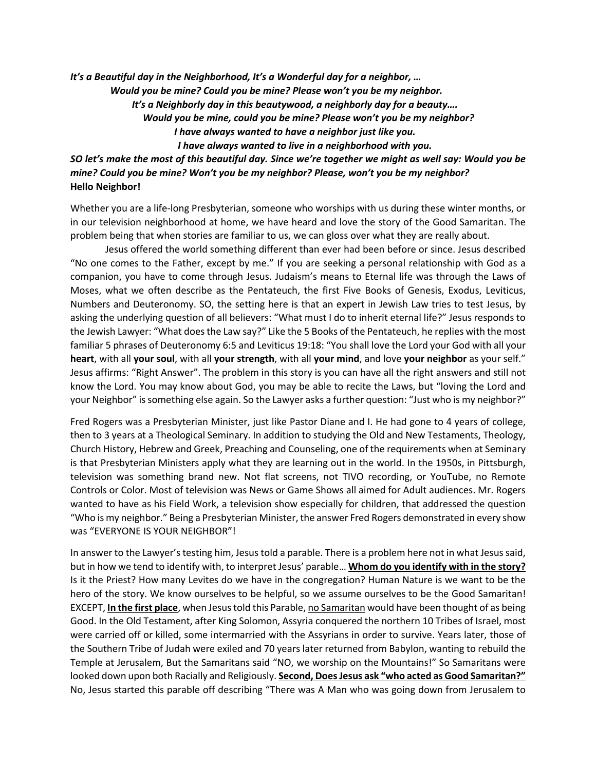*It's a Beautiful day in the Neighborhood, It's a Wonderful day for a neighbor, …*

 *Would you be mine? Could you be mine? Please won't you be my neighbor.* 

 *It's a Neighborly day in this beautywood, a neighborly day for a beauty….*

*Would you be mine, could you be mine? Please won't you be my neighbor?*

 *I have always wanted to have a neighbor just like you.*

*I have always wanted to live in a neighborhood with you.* 

## *SO let's make the most of this beautiful day. Since we're together we might as well say: Would you be mine? Could you be mine? Won't you be my neighbor? Please, won't you be my neighbor?* **Hello Neighbor!**

Whether you are a life-long Presbyterian, someone who worships with us during these winter months, or in our television neighborhood at home, we have heard and love the story of the Good Samaritan. The problem being that when stories are familiar to us, we can gloss over what they are really about.

Jesus offered the world something different than ever had been before or since. Jesus described "No one comes to the Father, except by me." If you are seeking a personal relationship with God as a companion, you have to come through Jesus. Judaism's means to Eternal life was through the Laws of Moses, what we often describe as the Pentateuch, the first Five Books of Genesis, Exodus, Leviticus, Numbers and Deuteronomy. SO, the setting here is that an expert in Jewish Law tries to test Jesus, by asking the underlying question of all believers: "What must I do to inherit eternal life?" Jesus responds to the Jewish Lawyer: "What does the Law say?" Like the 5 Books of the Pentateuch, he replies with the most familiar 5 phrases of Deuteronomy 6:5 and Leviticus 19:18: "You shall love the Lord your God with all your **heart**, with all **your soul**, with all **your strength**, with all **your mind**, and love **your neighbor** as your self." Jesus affirms: "Right Answer". The problem in this story is you can have all the right answers and still not know the Lord. You may know about God, you may be able to recite the Laws, but "loving the Lord and your Neighbor" is something else again. So the Lawyer asks a further question: "Just who is my neighbor?"

Fred Rogers was a Presbyterian Minister, just like Pastor Diane and I. He had gone to 4 years of college, then to 3 years at a Theological Seminary. In addition to studying the Old and New Testaments, Theology, Church History, Hebrew and Greek, Preaching and Counseling, one of the requirements when at Seminary is that Presbyterian Ministers apply what they are learning out in the world. In the 1950s, in Pittsburgh, television was something brand new. Not flat screens, not TIVO recording, or YouTube, no Remote Controls or Color. Most of television was News or Game Shows all aimed for Adult audiences. Mr. Rogers wanted to have as his Field Work, a television show especially for children, that addressed the question "Who is my neighbor." Being a Presbyterian Minister, the answer Fred Rogers demonstrated in every show was "EVERYONE IS YOUR NEIGHBOR"!

In answer to the Lawyer's testing him, Jesus told a parable. There is a problem here not in what Jesus said, but in how we tend to identify with, to interpret Jesus' parable… **Whom do you identify with in the story?** Is it the Priest? How many Levites do we have in the congregation? Human Nature is we want to be the hero of the story. We know ourselves to be helpful, so we assume ourselves to be the Good Samaritan! EXCEPT, **In the first place**, when Jesus told this Parable, no Samaritan would have been thought of as being Good. In the Old Testament, after King Solomon, Assyria conquered the northern 10 Tribes of Israel, most were carried off or killed, some intermarried with the Assyrians in order to survive. Years later, those of the Southern Tribe of Judah were exiled and 70 years later returned from Babylon, wanting to rebuild the Temple at Jerusalem, But the Samaritans said "NO, we worship on the Mountains!" So Samaritans were looked down upon both Racially and Religiously. **Second, Does Jesus ask "who acted as Good Samaritan?"** No, Jesus started this parable off describing "There was A Man who was going down from Jerusalem to